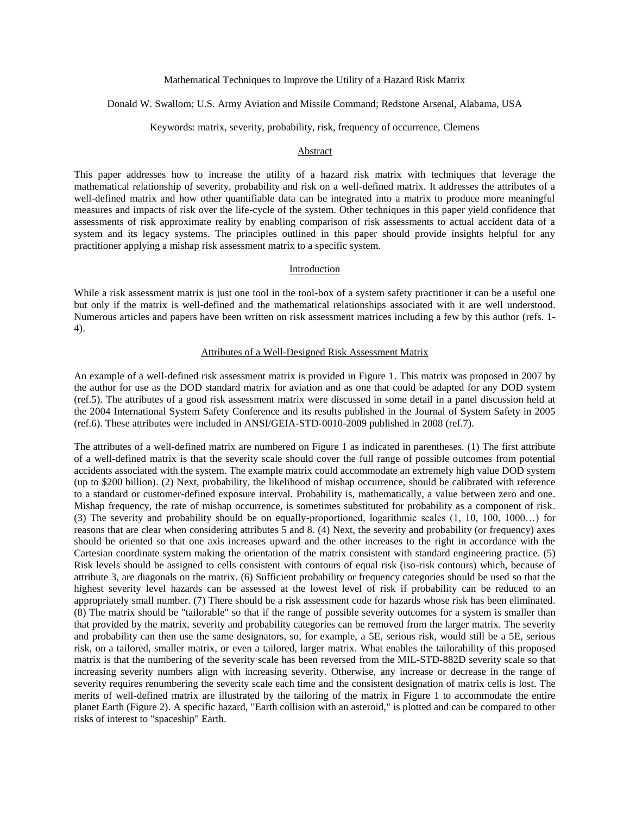Mathematical Techniques to Improve the Utility of a Hazard Risk Matrix

Donald W. Swallom; U.S. Army Aviation and Missile Command; Redstone Arsenal, Alabama, USA

Keywords: matrix, severity, probability, risk, frequency of occurrence, Clemens

#### Abstract

This paper addresses how to increase the utility of a hazard risk matrix with techniques that leverage the mathematical relationship of severity, probability and risk on a well-defined matrix. It addresses the attributes of a well-defined matrix and how other quantifiable data can be integrated into a matrix to produce more meaningful measures and impacts of risk over the life-cycle of the system. Other techniques in this paper yield confidence that assessments of risk approximate reality by enabling comparison of risk assessments to actual accident data of a system and its legacy systems. The principles outlined in this paper should provide insights helpful for any practitioner applying a mishap risk assessment matrix to a specific system.

## Introduction

While a risk assessment matrix is just one tool in the tool-box of a system safety practitioner it can be a useful one but only if the matrix is well-defined and the mathematical relationships associated with it are well understood. Numerous articles and papers have been written on risk assessment matrices including a few by this author (refs. 1- 4).

#### Attributes of a Well-Designed Risk Assessment Matrix

An example of a well-defined risk assessment matrix is provided in Figure 1. This matrix was proposed in 2007 by the author for use as the DOD standard matrix for aviation and as one that could be adapted for any DOD system (ref.5). The attributes of a good risk assessment matrix were discussed in some detail in a panel discussion held at the 2004 International System Safety Conference and its results published in the Journal of System Safety in 2005 (ref.6). These attributes were included in ANSI/GEIA-STD-0010-2009 published in 2008 (ref.7).

The attributes of a well-defined matrix are numbered on Figure 1 as indicated in parentheses. (1) The first attribute of a well-defined matrix is that the severity scale should cover the full range of possible outcomes from potential accidents associated with the system. The example matrix could accommodate an extremely high value DOD system (up to \$200 billion). (2) Next, probability, the likelihood of mishap occurrence, should be calibrated with reference to a standard or customer-defined exposure interval. Probability is, mathematically, a value between zero and one. Mishap frequency, the rate of mishap occurrence, is sometimes substituted for probability as a component of risk. (3) The severity and probability should be on equally-proportioned, logarithmic scales (1, 10, 100, 1000…) for reasons that are clear when considering attributes 5 and 8. (4) Next, the severity and probability (or frequency) axes should be oriented so that one axis increases upward and the other increases to the right in accordance with the Cartesian coordinate system making the orientation of the matrix consistent with standard engineering practice. (5) Risk levels should be assigned to cells consistent with contours of equal risk (iso-risk contours) which, because of attribute 3, are diagonals on the matrix. (6) Sufficient probability or frequency categories should be used so that the highest severity level hazards can be assessed at the lowest level of risk if probability can be reduced to an appropriately small number. (7) There should be a risk assessment code for hazards whose risk has been eliminated. (8) The matrix should be "tailorable" so that if the range of possible severity outcomes for a system is smaller than that provided by the matrix, severity and probability categories can be removed from the larger matrix. The severity and probability can then use the same designators, so, for example, a 5E, serious risk, would still be a 5E, serious risk, on a tailored, smaller matrix, or even a tailored, larger matrix. What enables the tailorability of this proposed matrix is that the numbering of the severity scale has been reversed from the MIL-STD-882D severity scale so that increasing severity numbers align with increasing severity. Otherwise, any increase or decrease in the range of severity requires renumbering the severity scale each time and the consistent designation of matrix cells is lost. The merits of well-defined matrix are illustrated by the tailoring of the matrix in Figure 1 to accommodate the entire planet Earth (Figure 2). A specific hazard, "Earth collision with an asteroid," is plotted and can be compared to other risks of interest to "spaceship" Earth.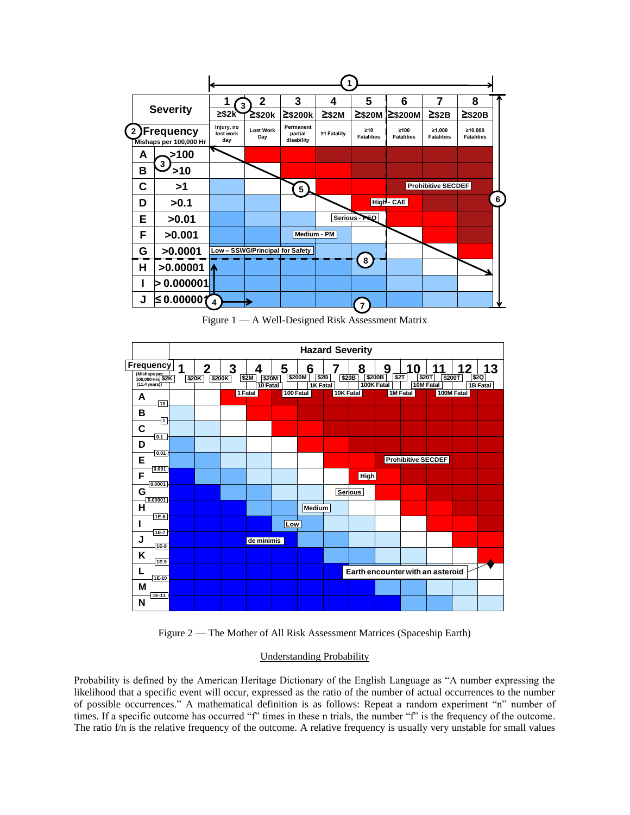|                |   |                                             | 3                              | 2                             | 3                                  | 4           | 5                              | 6                         | 7                           | 8                            |                |
|----------------|---|---------------------------------------------|--------------------------------|-------------------------------|------------------------------------|-------------|--------------------------------|---------------------------|-----------------------------|------------------------------|----------------|
|                |   | <b>Severity</b>                             | $≥$ \$2k                       | ≧\$20k                        | $\geq$ \$200 $k$                   | $\geq$ \$2M | $\geq$ \$20M                   | 2\$200M                   | $\geq$ \$2B                 | $2$ \$20B                    |                |
| $\overline{2}$ |   | <b>)Frequency</b><br>Mishaps per 100,000 Hr | Injury, no<br>lost work<br>day | <b>Lost Work</b><br>Day       | Permanent<br>partial<br>disability | ≥1 Fatality | $\geq 10$<br><b>Fatalities</b> | ≥100<br><b>Fatalities</b> | ≥1.000<br><b>Fatalities</b> | ≥10.000<br><b>Fatalities</b> |                |
|                | A | >100                                        |                                |                               |                                    |             |                                |                           |                             |                              |                |
|                | B | 3<br>>10                                    |                                |                               |                                    |             |                                |                           |                             |                              |                |
|                | С | >1                                          |                                |                               | 5 <sup>1</sup>                     |             |                                |                           | Prohibitive SECDEF          |                              |                |
|                | D | >0.1                                        |                                |                               |                                    |             |                                | High - CAE                |                             |                              | 6 <sup>1</sup> |
|                | Е | >0.01                                       |                                |                               |                                    |             | Serious - PEQ                  |                           |                             |                              |                |
|                | F | >0.001                                      |                                |                               |                                    | Medium - PM |                                |                           |                             |                              |                |
|                | G | >0.0001                                     |                                | Low-SSWG/Principal for Safety |                                    |             |                                |                           |                             |                              |                |
|                | Н | >0.00001                                    |                                |                               |                                    |             | 8                              |                           |                             |                              |                |
|                |   | > 0.000001                                  |                                |                               |                                    |             |                                |                           |                             |                              |                |
|                | J | $\leq$ 0.000001                             | $\overline{\mathbf{4}}$        |                               |                                    |             | 7                              |                           |                             |                              |                |

Figure 1 — A Well-Designed Risk Assessment Matrix



Figure 2 — The Mother of All Risk Assessment Matrices (Spaceship Earth)

# Understanding Probability

Probability is defined by the American Heritage Dictionary of the English Language as "A number expressing the likelihood that a specific event will occur, expressed as the ratio of the number of actual occurrences to the number of possible occurrences." A mathematical definition is as follows: Repeat a random experiment "n" number of times. If a specific outcome has occurred "f" times in these n trials, the number "f" is the frequency of the outcome. The ratio f/n is the relative frequency of the outcome. A relative frequency is usually very unstable for small values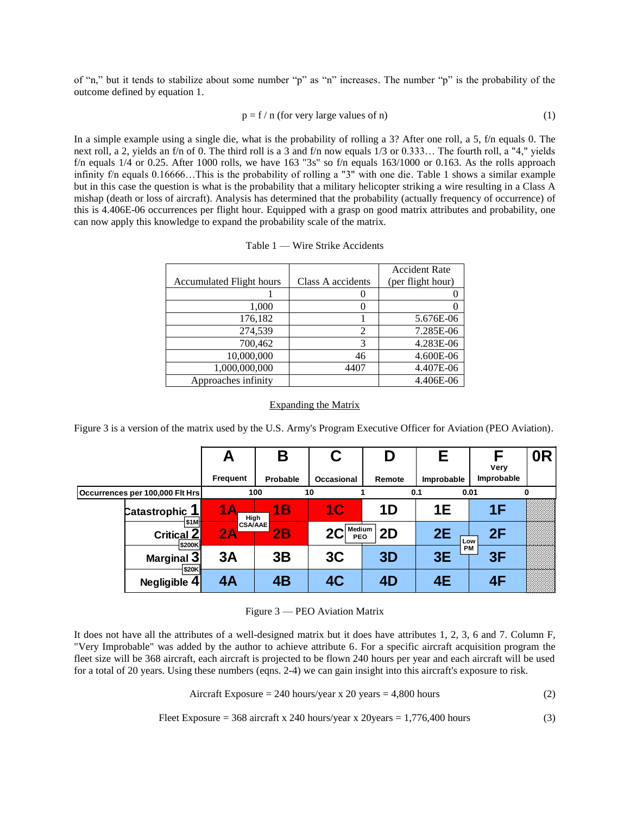of "n," but it tends to stabilize about some number "p" as "n" increases. The number "p" is the probability of the outcome defined by equation 1.

$$
p = f / n \text{ (for very large values of } n\text{)}\tag{1}
$$

In a simple example using a single die, what is the probability of rolling a 3? After one roll, a 5, f/n equals 0. The next roll, a 2, yields an f/n of 0. The third roll is a 3 and f/n now equals 1/3 or 0.333… The fourth roll, a "4," yields f/n equals  $1/4$  or 0.25. After 1000 rolls, we have  $163$  "3s" so f/n equals  $163/1000$  or 0.163. As the rolls approach infinity f/n equals 0.16666…This is the probability of rolling a "3" with one die. Table 1 shows a similar example but in this case the question is what is the probability that a military helicopter striking a wire resulting in a Class A mishap (death or loss of aircraft). Analysis has determined that the probability (actually frequency of occurrence) of this is 4.406E-06 occurrences per flight hour. Equipped with a grasp on good matrix attributes and probability, one can now apply this knowledge to expand the probability scale of the matrix.

|                                 | Class A accidents | <b>Accident Rate</b> |
|---------------------------------|-------------------|----------------------|
| <b>Accumulated Flight hours</b> |                   | (per flight hour)    |
|                                 |                   |                      |
| 1,000                           |                   |                      |
| 176,182                         |                   | 5.676E-06            |
| 274,539                         | $\mathfrak{D}$    | 7.285E-06            |
| 700,462                         | 3                 | 4.283E-06            |
| 10,000,000                      | 46                | 4.600E-06            |
| 1,000,000,000                   | 4407              | 4.407E-06            |
| Approaches infinity             |                   | 4.406E-06            |

Table 1 — Wire Strike Accidents

# Expanding the Matrix **100 10 1 0.1 0.01 0 Assumptions**

Expanding the Matrix<br>Figure 3 is a version of the matrix used by the U.S. Army's Program Executive Officer for Aviation (PEO Aviation). **Fleet Size: 368 aircraft Aircraft Exposure Hours: hours** Utilization: **Department COV** *CLUS*. **A** *CLUS CLUS CLUS CLUS CLUS CLUS* **4,800** 1ation (Pr

|                                 | A                    | Β             | C                 | D      | Е           | F<br>Very  | 0 <sub>R</sub> |
|---------------------------------|----------------------|---------------|-------------------|--------|-------------|------------|----------------|
|                                 | Frequent             | Probable      | <b>Occasional</b> | Remote | Improbable  | Improbable |                |
| Occurrences per 100,000 Flt Hrs |                      | 100           | 10                |        | 0.1<br>0.01 |            | $\mathbf{0}$   |
| Catastrophic_1<br>\$1M          | High                 | 1B            | 1 <sup>C</sup>    | 1D     | <b>1E</b>   | 1F         |                |
| Critical <sub>2</sub><br>\$200K | <b>CSA/AAE</b><br>2A | $2\mathsf{B}$ | $2C$ Medium       | 2D     | 2E<br>Low   | 2F         |                |
| Marginal 3                      | 3A                   | 3B            | 3 <sub>C</sub>    | 3D     | PM<br>3E    | 3F         |                |
| \$20K<br>Negligible 4           | 4A                   | 4B            | 4 <sub>C</sub>    | 4D     | 4E          | 4F         |                |

Figure 3 – PEO Aviation Matrix **Critical 2 2A 2B 2C 2D**

It does not have all the attributes of a well-designed matrix but it does have attributes 1, 2, 3, 6 and 7. Column F, "Very Improbable" was added by the author to achieve attribute 6. For a specific aircraft acquisition program the **3B 3C 3D 3E 3F Marginal 3 3A** fleet size will be 368 aircraft, each aircraft is projected to be flown 240 hours per year and each aircraft will be used **here also have the constraints**, then increme to provide the constraints of projection into the constraints with the constraints of the constraints of the constraints of  $\frac{1}{2}$  and  $\frac{1}{2}$  and  $\frac{1}{2}$  and  $\frac{1}{2}$ **P**<br>8, 6<br>qui

Aircraft Exposure = 240 hours/year x 20 years = 4,800 hours (2)

Fleet Exposure =  $368$  aircraft x 240 hours/year x 20years =  $1,776,400$  hours (3)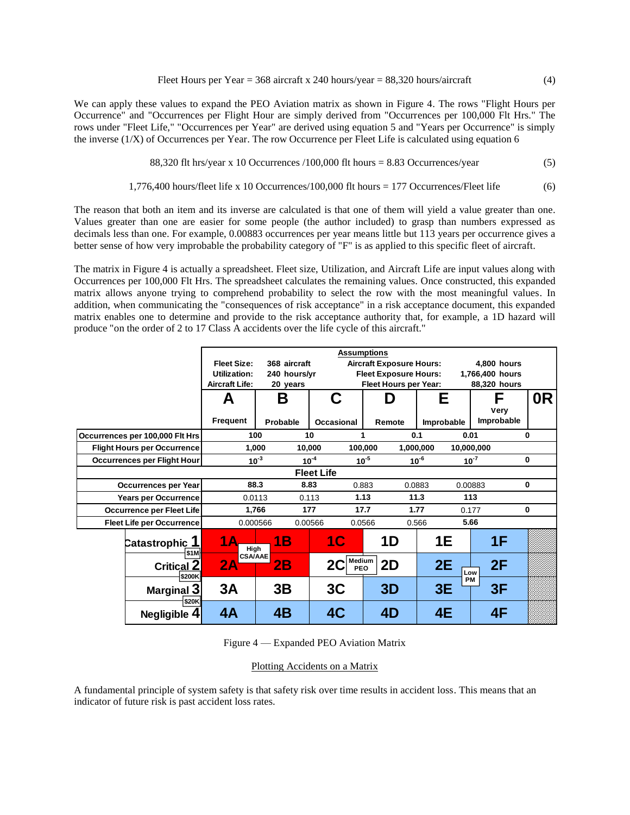Fleet Hours per Year =  $368$  aircraft x 240 hours/year =  $88,320$  hours/aircraft (4)

We can apply these values to expand the PEO Aviation matrix as shown in Figure 4. The rows "Flight Hours per Occurrence" and "Occurrences per Flight Hour are simply derived from "Occurrences per 100,000 Flt Hrs." The rows under "Fleet Life," "Occurrences per Year" are derived using equation 5 and "Years per Occurrence" is simply the inverse  $(1/X)$  of Occurrences per Year. The row Occurrence per Fleet Life is calculated using equation 6

88,320 fit hrs/year x 10 Occurrences /100,000 fit hours = 
$$
8.83
$$
 Occurrences/year (5)

$$
1,776,400 hours/ fleet life x 10 Occurrences/100,000 fit hours = 177 Occurrences/ Fleet life \t(6)
$$

The reason that both an item and its inverse are calculated is that one of them will yield a value greater than one. Values greater than one are easier for some people (the author included) to grasp than numbers expressed as decimals less than one. For example, 0.00883 occurrences per year means little but 113 years per occurrence gives a better sense of how very improbable the probability category of "F" is as applied to this specific fleet of aircraft.

The matrix in Figure 4 is actually a spreadsheet. Fleet size, Utilization, and Aircraft Life are input values along with Occurrences per 100,000 Flt Hrs. The spreadsheet calculates the remaining values. Once constructed, this expanded matrix allows anyone trying to comprehend probability to select the row with the most meaningful values. In addition, when communicating the "consequences of risk acceptance" in a risk acceptance document, this expanded matrix enables one to determine and provide to the risk acceptance authority that, for example, a 1D hazard will produce "on the order of 2 to 17 Class A accidents over the life cycle of this aircraft."

|                                    |                       | <b>Assumptions</b>                 |                     |                                 |                   |                                    |  |
|------------------------------------|-----------------------|------------------------------------|---------------------|---------------------------------|-------------------|------------------------------------|--|
|                                    |                       | <b>Fleet Size:</b><br>368 aircraft |                     | <b>Aircraft Exposure Hours:</b> | 4.800 hours       |                                    |  |
|                                    | Utilization:          | 240 hours/yr                       |                     | <b>Fleet Exposure Hours:</b>    |                   | 1,766,400 hours                    |  |
|                                    | <b>Aircraft Life:</b> | 20 years                           |                     | Fleet Hours per Year:           |                   | 88,320 hours                       |  |
|                                    | A                     | В                                  | C                   | n                               | Е                 | 0 <sub>R</sub><br>F<br><b>Very</b> |  |
|                                    | <b>Frequent</b>       | Probable                           | Occasional          | Remote                          | <b>Improbable</b> | Improbable                         |  |
| Occurrences per 100,000 Fit Hrs    |                       | 100                                | 10                  |                                 | 0.1               | 0.01<br>0                          |  |
| <b>Flight Hours per Occurrence</b> |                       | 1,000                              | 10,000              | 100,000                         | 1,000,000         | 10,000,000                         |  |
| <b>Occurrences per Flight Hour</b> |                       | $10-3$                             | $10^{-4}$           | $10^{-5}$                       | $10^{-6}$         | $10^{-7}$<br>$\mathbf{0}$          |  |
|                                    |                       |                                    | <b>Fleet Life</b>   |                                 |                   |                                    |  |
| <b>Occurrences per Year</b>        |                       | 88.3                               | 8.83                | 0.883                           | 0.0883            | $\mathbf 0$<br>0.00883             |  |
| <b>Years per Occurrence</b>        |                       | 0.0113                             | 0.113               | 1.13                            | 11.3              | 113                                |  |
| <b>Occurrence per Fleet Life</b>   |                       | 1.766                              | 177                 | 17.7                            | 1.77              | $\mathbf{0}$<br>0.177              |  |
| <b>Fleet Life per Occurrence</b>   |                       | 0.000566                           | 0.00566             | 0.0566                          | 0.566             | 5.66                               |  |
| Catastrophic 1                     |                       | 1Β<br>High                         | 1 <sup>C</sup>      | 1D                              | <b>1E</b>         | 1F                                 |  |
| <b>Critical 2</b><br>\$200K        | \$1M<br>2A            | <b>CSA/AAE</b><br>2B               | Medium<br>2C<br>PEO | 2D                              | 2E                | 2F<br>Low                          |  |
| <b>Marginal 3</b>                  | 3A                    | 3B                                 | 3 <sub>C</sub>      | 3D                              | 3E                | РM<br>3F                           |  |
| Negligible 4                       | \$20K<br>4A           | 4B                                 | 4C                  | 4D                              | 4E                | 4F                                 |  |

Figure 4 — Expanded PEO Aviation Matrix

## Plotting Accidents on a Matrix

A fundamental principle of system safety is that safety risk over time results in accident loss. This means that an indicator of future risk is past accident loss rates.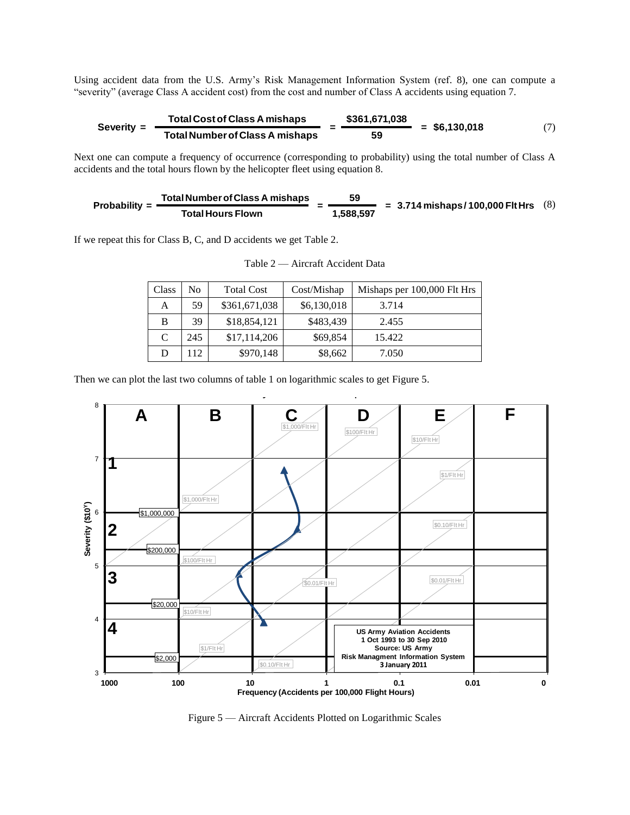Using accident data from the U.S. Army's Risk Management Information System (ref. 8), one can compute a "severity" (average Class A accident cost) from the cost and number of Class A accidents using equation 7.

$$
Severity = \frac{Total Cost of Class A mishaps}{Total Number of Class A mishaps} = \frac{$361,671,038}{59} = $6,130,018
$$
 (7)

Next one can compute a frequency of occurrence (corresponding to probability) using the total number of Class A accidents and the total hours flown by the helicopter fleet using equation 8.

Probability = 
$$
\frac{\text{Total Number of Class A mishaps}}{\text{Total Hours Flown}} = \frac{59}{1,588,597} = 3.714 \text{ mishaps} / 100,000 \text{ Fit Hrs} \quad (8)
$$

If we repeat this for Class B, C, and D accidents we get Table 2.

| Class | No  | <b>Total Cost</b> | Cost/Mishap | Mishaps per 100,000 Flt Hrs |
|-------|-----|-------------------|-------------|-----------------------------|
| А     | 59. | \$361,671,038     | \$6,130,018 | 3.714                       |
| B     | 39  | \$18,854,121      | \$483,439   | 2.455                       |
| C     | 245 | \$17,114,206      | \$69,854    | 15.422                      |
| D     | 12  | \$970,148         | \$8,662     | 7.050                       |

Table 2 — Aircraft Accident Data

Then we can plot the last two columns of table 1 on logarithmic scales to get Figure 5.



Figure 5 — Aircraft Accidents Plotted on Logarithmic Scales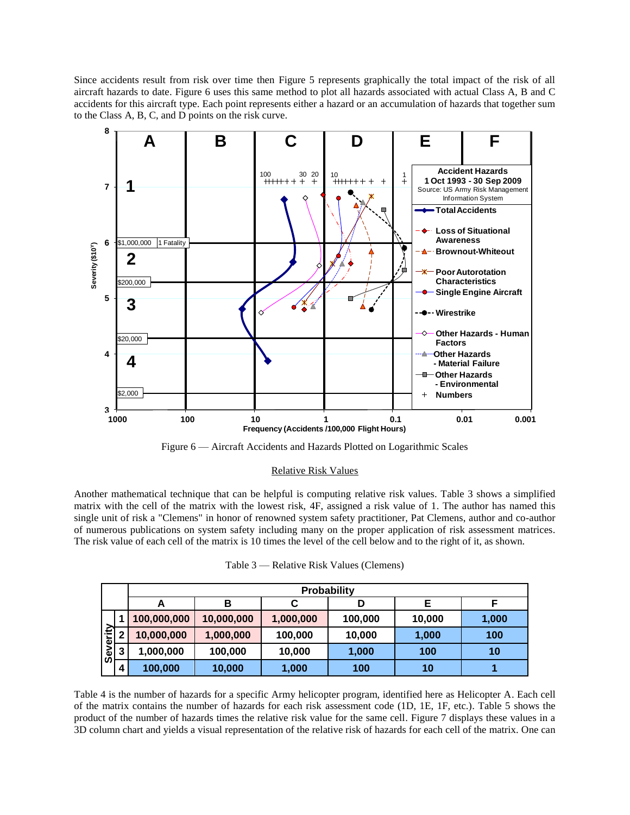Since accidents result from risk over time then Figure 5 represents graphically the total impact of the risk of all aircraft hazards to date. Figure 6 uses this same method to plot all hazards associated with actual Class A, B and C accidents for this aircraft type. Each point represents either a hazard or an accumulation of hazards that together sum to the Class A, B, C, and D points on the risk curve.



Figure 6 — Aircraft Accidents and Hazards Plotted on Logarithmic Scales

## Relative Risk Values

Another mathematical technique that can be helpful is computing relative risk values. Table 3 shows a simplified matrix with the cell of the matrix with the lowest risk, 4F, assigned a risk value of 1. The author has named this single unit of risk a "Clemens" in honor of renowned system safety practitioner, Pat Clemens, author and co-author of numerous publications on system safety including many on the proper application of risk assessment matrices. The risk value of each cell of the matrix is 10 times the level of the cell below and to the right of it, as shown.

|                        |   | <b>Probability</b> |            |           |         |        |       |  |  |  |
|------------------------|---|--------------------|------------|-----------|---------|--------|-------|--|--|--|
|                        |   | А                  | в          |           | D       |        |       |  |  |  |
|                        |   | 100,000,000        | 10,000,000 | 1,000,000 | 100,000 | 10,000 | 1,000 |  |  |  |
| <u>ie</u><br>ō<br>ဖြစ် |   | 10,000,000         | 1,000,000  | 100,000   | 10,000  | 1,000  | 100   |  |  |  |
|                        | 3 | 1,000,000          | 100,000    | 10,000    | 1,000   | 100    | 10    |  |  |  |
|                        | 4 | 100,000            | 10,000     | 1,000     | 100     | 10     |       |  |  |  |

Table 4 is the number of hazards for a specific Army helicopter program, identified here as Helicopter A. Each cell of the matrix contains the number of hazards for each risk assessment code (1D, 1E, 1F, etc.). Table 5 shows the product of the number of hazards times the relative risk value for the same cell. Figure 7 displays these values in a 3D column chart and yields a visual representation of the relative risk of hazards for each cell of the matrix. One can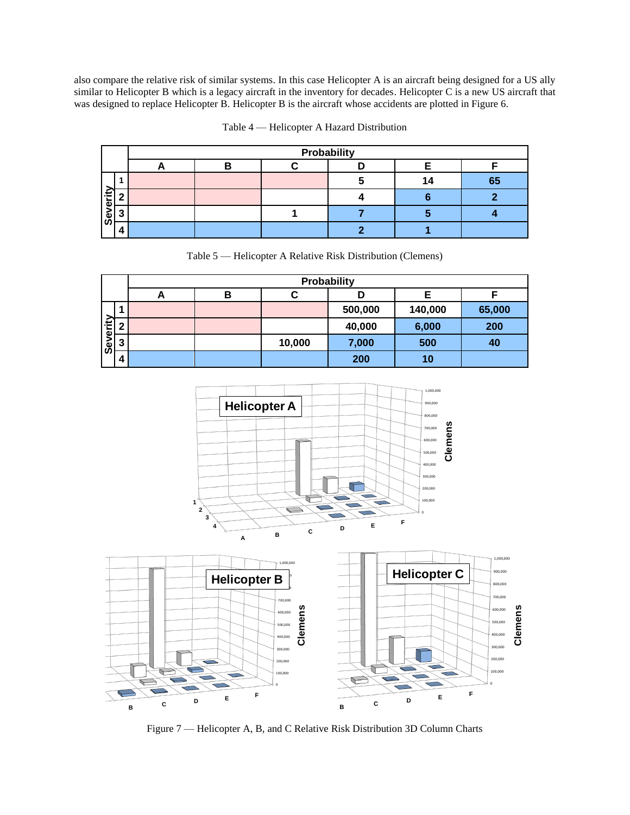also compare the relative risk of similar systems. In this case Helicopter A is an aircraft being designed for a US ally similar to Helicopter B which is a legacy aircraft in the inventory for decades. Helicopter C is a new US aircraft that was designed to replace Helicopter B. Helicopter B is the aircraft whose accidents are plotted in Figure 6.

|                | Probability |   |  |  |  |    |  |  |
|----------------|-------------|---|--|--|--|----|--|--|
|                | −           | В |  |  |  |    |  |  |
|                |             |   |  |  |  | 65 |  |  |
| ≔<br>δ.<br>မြိ |             |   |  |  |  |    |  |  |
|                |             |   |  |  |  |    |  |  |
|                |             |   |  |  |  |    |  |  |

Table 4 — Helicopter A Hazard Distribution

Table 5 — Helicopter A Relative Risk Distribution (Clemens)

|                         |   | Probability |   |        |         |         |        |  |  |  |
|-------------------------|---|-------------|---|--------|---------|---------|--------|--|--|--|
|                         |   | A           | в |        |         |         |        |  |  |  |
|                         |   |             |   |        | 500,000 | 140,000 | 65,000 |  |  |  |
| erity                   | ີ |             |   |        | 40,000  | 6,000   | 200    |  |  |  |
| $\mathsf{se}\mathsf{v}$ | າ |             |   | 10,000 | 7,000   | 500     | 40     |  |  |  |
|                         | 4 |             |   |        | 200     | 10      |        |  |  |  |



Figure 7 — Helicopter A, B, and C Relative Risk Distribution 3D Column Charts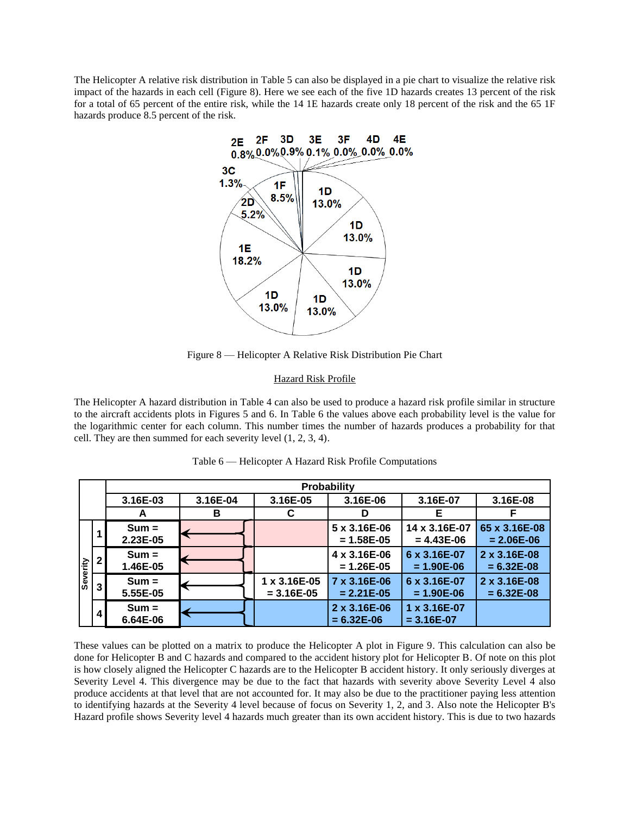The Helicopter A relative risk distribution in Table 5 can also be displayed in a pie chart to visualize the relative risk impact of the hazards in each cell (Figure 8). Here we see each of the five 1D hazards creates 13 percent of the risk for a total of 65 percent of the entire risk, while the 14 1E hazards create only 18 percent of the risk and the 65 1F hazards produce 8.5 percent of the risk.



Figure 8 — Helicopter A Relative Risk Distribution Pie Chart

# Hazard Risk Profile

The Helicopter A hazard distribution in Table 4 can also be used to produce a hazard risk profile similar in structure to the aircraft accidents plots in Figures 5 and 6. In Table 6 the values above each probability level is the value for the logarithmic center for each column. This number times the number of hazards produces a probability for that cell. They are then summed for each severity level (1, 2, 3, 4).

|          |   |                     |          |                              | Probability                             |                                |                                 |
|----------|---|---------------------|----------|------------------------------|-----------------------------------------|--------------------------------|---------------------------------|
|          |   | 3.16E-03            | 3.16E-04 | 3.16E-05                     | 3.16E-06                                | 3.16E-07                       | 3.16E-08                        |
|          |   | A                   | в        | C                            | D                                       | Е                              |                                 |
|          |   | $Sum =$<br>2.23E-05 |          |                              | $5 \times 3.16E - 06$<br>$= 1.58E - 05$ | 14 x 3.16E-07<br>$= 4.43E-06$  | 65 x 3.16E-08<br>$= 2.06E - 06$ |
|          |   | $Sum =$<br>1.46E-05 |          |                              | 4 x 3.16E-06<br>$= 1.26E - 05$          | 6 x 3.16E-07<br>$= 1.90E - 06$ | 2 x 3.16E-08<br>$= 6.32E-08$    |
| Severity | 3 | $Sum =$<br>5.55E-05 |          | 1 x 3.16E-05<br>$= 3.16E-05$ | 7 x 3.16E-06<br>$= 2.21E-05$            | 6 x 3.16E-07<br>$= 1.90E - 06$ | 2 x 3.16E-08<br>$= 6.32E-08$    |
|          | 4 | $Sum =$<br>6.64E-06 |          |                              | 2 x 3.16E-06<br>$= 6.32E - 06$          | 1 x 3.16E-07<br>$= 3.16E-07$   |                                 |

Table 6 — Helicopter A Hazard Risk Profile Computations

These values can be plotted on a matrix to produce the Helicopter A plot in Figure 9. This calculation can also be done for Helicopter B and C hazards and compared to the accident history plot for Helicopter B. Of note on this plot is how closely aligned the Helicopter C hazards are to the Helicopter B accident history. It only seriously diverges at Severity Level 4. This divergence may be due to the fact that hazards with severity above Severity Level 4 also produce accidents at that level that are not accounted for. It may also be due to the practitioner paying less attention to identifying hazards at the Severity 4 level because of focus on Severity 1, 2, and 3. Also note the Helicopter B's Hazard profile shows Severity level 4 hazards much greater than its own accident history. This is due to two hazards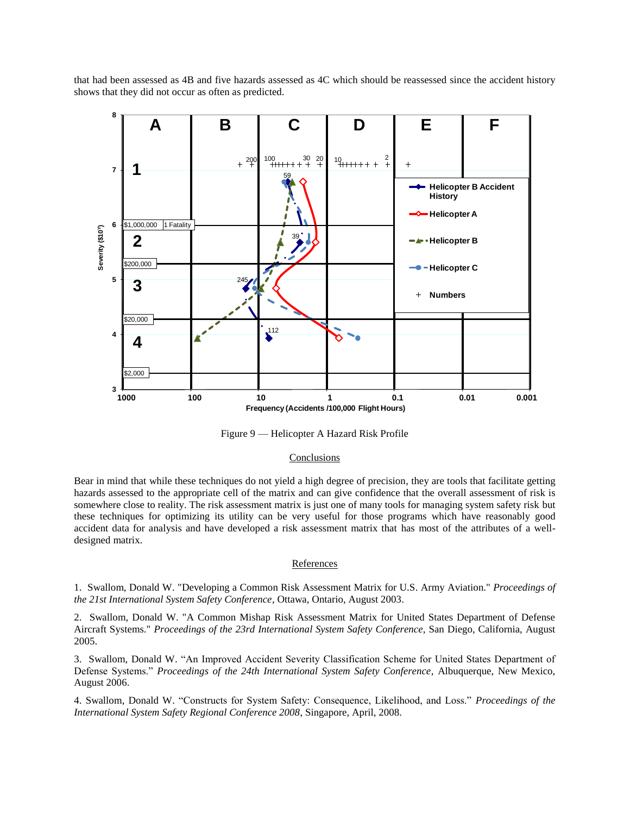that had been assessed as 4B and five hazards assessed as 4C which should be reassessed since the accident history shows that they did not occur as often as predicted.



Figure 9 — Helicopter A Hazard Risk Profile

# **Conclusions**

Bear in mind that while these techniques do not yield a high degree of precision, they are tools that facilitate getting hazards assessed to the appropriate cell of the matrix and can give confidence that the overall assessment of risk is somewhere close to reality. The risk assessment matrix is just one of many tools for managing system safety risk but these techniques for optimizing its utility can be very useful for those programs which have reasonably good accident data for analysis and have developed a risk assessment matrix that has most of the attributes of a welldesigned matrix.

#### **References**

1. Swallom, Donald W. "Developing a Common Risk Assessment Matrix for U.S. Army Aviation." *Proceedings of the 21st International System Safety Conference*, Ottawa, Ontario, August 2003.

2. Swallom, Donald W. "A Common Mishap Risk Assessment Matrix for United States Department of Defense Aircraft Systems." *Proceedings of the 23rd International System Safety Conference*, San Diego, California, August 2005.

3. Swallom, Donald W. "An Improved Accident Severity Classification Scheme for United States Department of Defense Systems." *Proceedings of the 24th International System Safety Conference*, Albuquerque, New Mexico, August 2006.

4. Swallom, Donald W. "Constructs for System Safety: Consequence, Likelihood, and Loss." *Proceedings of the International System Safety Regional Conference 2008*, Singapore, April, 2008.